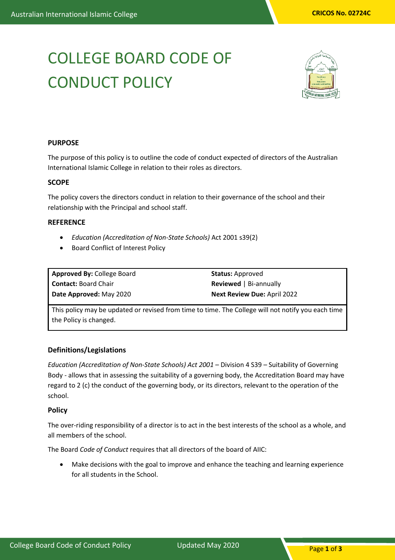# COLLEGE BOARD CODE OF CONDUCT POLICY



# **PURPOSE**

The purpose of this policy is to outline the code of conduct expected of directors of the Australian International Islamic College in relation to their roles as directors.

#### **SCOPE**

The policy covers the directors conduct in relation to their governance of the school and their relationship with the Principal and school staff.

#### **REFERENCE**

- *Education (Accreditation of Non-State Schools)* Act 2001 s39(2)
- Board Conflict of Interest Policy

**Approved By:** College Board **Contact:** Board Chair **Date Approved:** May 2020

**Status:** Approved **Reviewed** | Bi-annually **Next Review Due:** April 2022

This policy may be updated or revised from time to time. The College will not notify you each time the Policy is changed.

## **Definitions/Legislations**

*Education (Accreditation of Non-State Schools) Act 2001* – Division 4 S39 – Suitability of Governing Body - allows that in assessing the suitability of a governing body, the Accreditation Board may have regard to 2 (c) the conduct of the governing body, or its directors, relevant to the operation of the school.

## **Policy**

The over-riding responsibility of a director is to act in the best interests of the school as a whole, and all members of the school.

The Board *Code of Conduct* requires that all directors of the board of AIIC:

• Make decisions with the goal to improve and enhance the teaching and learning experience for all students in the School.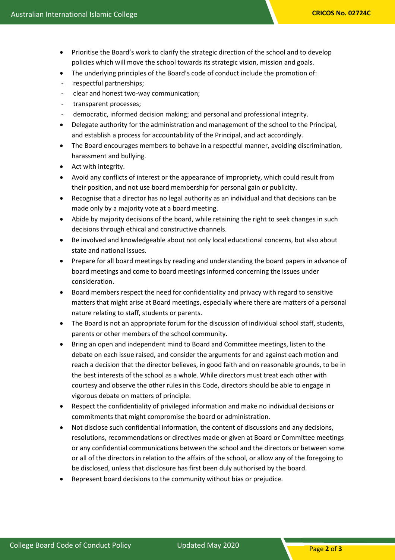- Prioritise the Board's work to clarify the strategic direction of the school and to develop policies which will move the school towards its strategic vision, mission and goals.
- The underlying principles of the Board's code of conduct include the promotion of:
- respectful partnerships;
- clear and honest two-way communication;
- transparent processes;
- democratic, informed decision making; and personal and professional integrity.
- Delegate authority for the administration and management of the school to the Principal, and establish a process for accountability of the Principal, and act accordingly.
- The Board encourages members to behave in a respectful manner, avoiding discrimination, harassment and bullying.
- Act with integrity.
- Avoid any conflicts of interest or the appearance of impropriety, which could result from their position, and not use board membership for personal gain or publicity.
- Recognise that a director has no legal authority as an individual and that decisions can be made only by a majority vote at a board meeting.
- Abide by majority decisions of the board, while retaining the right to seek changes in such decisions through ethical and constructive channels.
- Be involved and knowledgeable about not only local educational concerns, but also about state and national issues.
- Prepare for all board meetings by reading and understanding the board papers in advance of board meetings and come to board meetings informed concerning the issues under consideration.
- Board members respect the need for confidentiality and privacy with regard to sensitive matters that might arise at Board meetings, especially where there are matters of a personal nature relating to staff, students or parents.
- The Board is not an appropriate forum for the discussion of individual school staff, students, parents or other members of the school community.
- Bring an open and independent mind to Board and Committee meetings, listen to the debate on each issue raised, and consider the arguments for and against each motion and reach a decision that the director believes, in good faith and on reasonable grounds, to be in the best interests of the school as a whole. While directors must treat each other with courtesy and observe the other rules in this Code, directors should be able to engage in vigorous debate on matters of principle.
- Respect the confidentiality of privileged information and make no individual decisions or commitments that might compromise the board or administration.
- Not disclose such confidential information, the content of discussions and any decisions, resolutions, recommendations or directives made or given at Board or Committee meetings or any confidential communications between the school and the directors or between some or all of the directors in relation to the affairs of the school, or allow any of the foregoing to be disclosed, unless that disclosure has first been duly authorised by the board.
- Represent board decisions to the community without bias or prejudice.